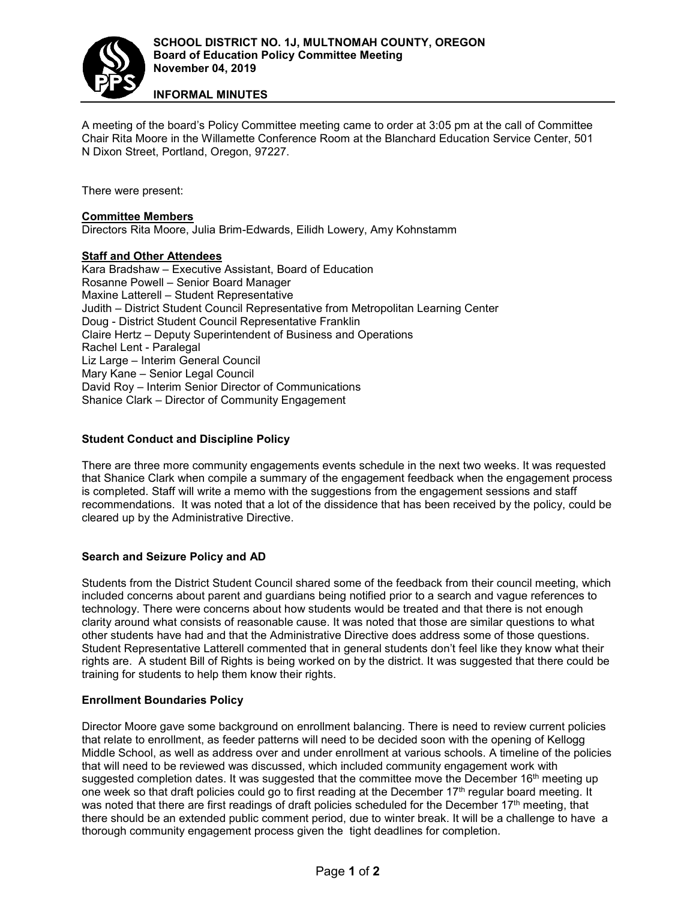

**INFORMAL MINUTES**

A meeting of the board's Policy Committee meeting came to order at 3:05 pm at the call of Committee Chair Rita Moore in the Willamette Conference Room at the Blanchard Education Service Center, 501 N Dixon Street, Portland, Oregon, 97227.

There were present:

### **Committee Members**

Directors Rita Moore, Julia Brim-Edwards, Eilidh Lowery, Amy Kohnstamm

## **Staff and Other Attendees**

Kara Bradshaw – Executive Assistant, Board of Education Rosanne Powell – Senior Board Manager Maxine Latterell – Student Representative Judith – District Student Council Representative from Metropolitan Learning Center Doug - District Student Council Representative Franklin Claire Hertz – Deputy Superintendent of Business and Operations Rachel Lent - Paralegal Liz Large – Interim General Council Mary Kane – Senior Legal Council David Roy – Interim Senior Director of Communications Shanice Clark – Director of Community Engagement

## **Student Conduct and Discipline Policy**

There are three more community engagements events schedule in the next two weeks. It was requested that Shanice Clark when compile a summary of the engagement feedback when the engagement process is completed. Staff will write a memo with the suggestions from the engagement sessions and staff recommendations. It was noted that a lot of the dissidence that has been received by the policy, could be cleared up by the Administrative Directive.

# **Search and Seizure Policy and AD**

Students from the District Student Council shared some of the feedback from their council meeting, which included concerns about parent and guardians being notified prior to a search and vague references to technology. There were concerns about how students would be treated and that there is not enough clarity around what consists of reasonable cause. It was noted that those are similar questions to what other students have had and that the Administrative Directive does address some of those questions. Student Representative Latterell commented that in general students don't feel like they know what their rights are. A student Bill of Rights is being worked on by the district. It was suggested that there could be training for students to help them know their rights.

#### **Enrollment Boundaries Policy**

Director Moore gave some background on enrollment balancing. There is need to review current policies that relate to enrollment, as feeder patterns will need to be decided soon with the opening of Kellogg Middle School, as well as address over and under enrollment at various schools. A timeline of the policies that will need to be reviewed was discussed, which included community engagement work with suggested completion dates. It was suggested that the committee move the December 16<sup>th</sup> meeting up one week so that draft policies could go to first reading at the December 17<sup>th</sup> regular board meeting. It was noted that there are first readings of draft policies scheduled for the December 17<sup>th</sup> meeting, that there should be an extended public comment period, due to winter break. It will be a challenge to have a thorough community engagement process given the tight deadlines for completion.